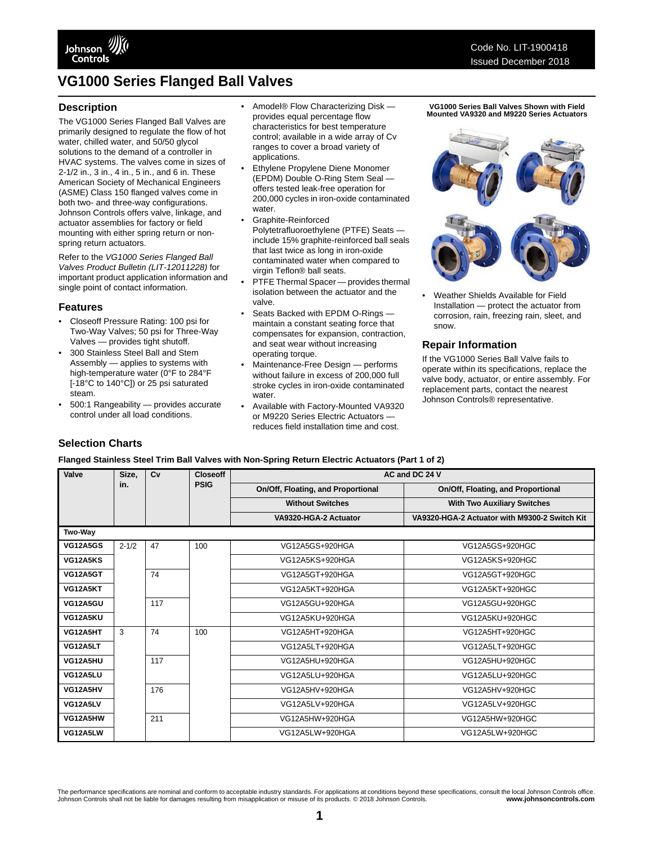

# **VG1000 Series Flanged Ball Valves**

#### **Description**

The VG1000 Series Flanged Ball Valves are primarily designed to regulate the flow of hot water, chilled water, and 50/50 glycol solutions to the demand of a controller in HVAC systems. The valves come in sizes of 2-1/2 in., 3 in., 4 in., 5 in., and 6 in. These American Society of Mechanical Engineers (ASME) Class 150 flanged valves come in both two- and three-way configurations. Johnson Controls offers valve, linkage, and actuator assemblies for factory or field mounting with either spring return or nonspring return actuators.

Refer to the *VG1000 Series Flanged Ball Valves Product Bulletin (LIT-12011228)* for important product application information and single point of contact information.

#### **Features**

- Closeoff Pressure Rating: 100 psi for Two-Way Valves; 50 psi for Three-Way Valves — provides tight shutoff.
- 300 Stainless Steel Ball and Stem Assembly — applies to systems with high-temperature water (0°F to 284°F [-18°C to 140°C]) or 25 psi saturated steam.
- 500:1 Rangeability provides accurate control under all load conditions.
- Amodel® Flow Characterizing Disk provides equal percentage flow characteristics for best temperature control; available in a wide array of Cv ranges to cover a broad variety of applications.
- Ethylene Propylene Diene Monomer (EPDM) Double O-Ring Stem Seal offers tested leak-free operation for 200,000 cycles in iron-oxide contaminated water.
- Graphite-Reinforced Polytetrafluoroethylene (PTFE) Seats include 15% graphite-reinforced ball seals that last twice as long in iron-oxide contaminated water when compared to virgin Teflon® ball seats.
- PTFE Thermal Spacer provides thermal isolation between the actuator and the valve.
- Seats Backed with EPDM O-Rings maintain a constant seating force that compensates for expansion, contraction, and seat wear without increasing operating torque.
- Maintenance-Free Design performs without failure in excess of 200,000 full stroke cycles in iron-oxide contaminated water.
- Available with Factory-Mounted VA9320 or M9220 Series Electric Actuators reduces field installation time and cost.

**VG1000 Series Ball Valves Shown with Field Mounted VA9320 and M9220 Series Actuators**



• Weather Shields Available for Field Installation — protect the actuator from corrosion, rain, freezing rain, sleet, and snow.

#### **Repair Information**

If the VG1000 Series Ball Valve fails to operate within its specifications, replace the valve body, actuator, or entire assembly. For replacement parts, contact the nearest Johnson Controls® representative.

### **Selection Charts**

#### **Flanged Stainless Steel Trim Ball Valves with Non-Spring Return Electric Actuators (Part 1 of 2)**

| Valve           | Size,     | Cv  | <b>Closeoff</b> | AC and DC 24 V                     |                                               |
|-----------------|-----------|-----|-----------------|------------------------------------|-----------------------------------------------|
|                 | in.       |     | <b>PSIG</b>     | On/Off, Floating, and Proportional | On/Off, Floating, and Proportional            |
|                 |           |     |                 | <b>Without Switches</b>            | <b>With Two Auxiliary Switches</b>            |
|                 |           |     |                 | VA9320-HGA-2 Actuator              | VA9320-HGA-2 Actuator with M9300-2 Switch Kit |
| Two-Way         |           |     |                 |                                    |                                               |
| <b>VG12A5GS</b> | $2 - 1/2$ | 47  | 100             | VG12A5GS+920HGA                    | VG12A5GS+920HGC                               |
| <b>VG12A5KS</b> |           |     |                 | VG12A5KS+920HGA                    | VG12A5KS+920HGC                               |
| <b>VG12A5GT</b> |           | 74  |                 | VG12A5GT+920HGA                    | VG12A5GT+920HGC                               |
| <b>VG12A5KT</b> |           |     |                 | VG12A5KT+920HGA                    | VG12A5KT+920HGC                               |
| <b>VG12A5GU</b> |           | 117 |                 | VG12A5GU+920HGA                    | VG12A5GU+920HGC                               |
| VG12A5KU        |           |     |                 | VG12A5KU+920HGA                    | VG12A5KU+920HGC                               |
| VG12A5HT        | 3         | 74  | 100             | VG12A5HT+920HGA                    | VG12A5HT+920HGC                               |
| VG12A5LT        |           |     |                 | VG12A5LT+920HGA                    | VG12A5LT+920HGC                               |
| VG12A5HU        |           | 117 |                 | VG12A5HU+920HGA                    | VG12A5HU+920HGC                               |
| VG12A5LU        |           |     |                 | VG12A5LU+920HGA                    | VG12A5LU+920HGC                               |
| VG12A5HV        |           | 176 |                 | VG12A5HV+920HGA                    | VG12A5HV+920HGC                               |
| VG12A5LV        |           |     |                 | VG12A5LV+920HGA                    | VG12A5LV+920HGC                               |
| VG12A5HW        |           | 211 |                 | VG12A5HW+920HGA                    | VG12A5HW+920HGC                               |
| VG12A5LW        |           |     |                 | VG12A5LW+920HGA                    | VG12A5LW+920HGC                               |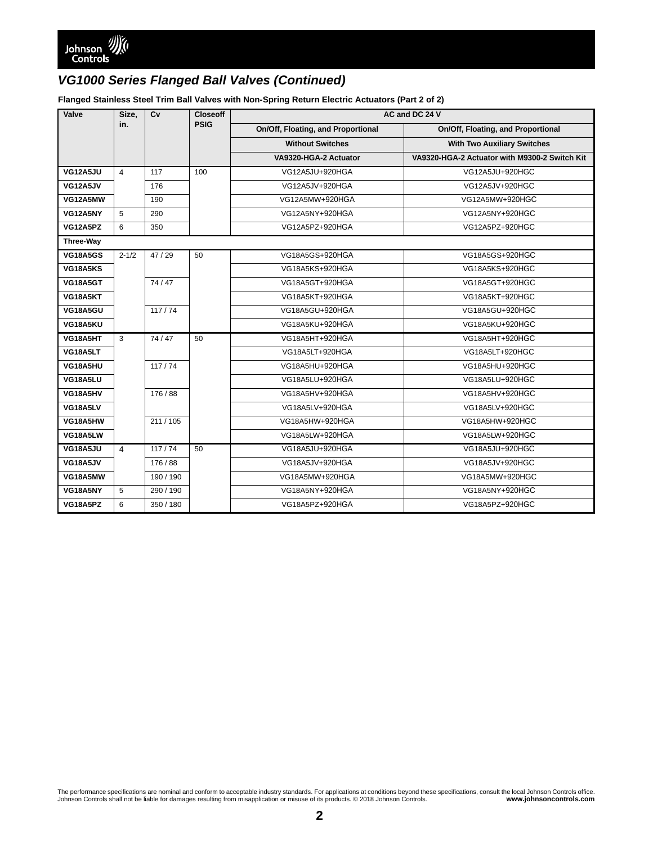**Flanged Stainless Steel Trim Ball Valves with Non-Spring Return Electric Actuators (Part 2 of 2)**

| Valve            | Size,          | Cv      | <b>Closeoff</b> |                                    | AC and DC 24 V                                |
|------------------|----------------|---------|-----------------|------------------------------------|-----------------------------------------------|
|                  | in.            |         | <b>PSIG</b>     | On/Off, Floating, and Proportional | On/Off, Floating, and Proportional            |
|                  |                |         |                 | <b>Without Switches</b>            | <b>With Two Auxiliary Switches</b>            |
|                  |                |         |                 | VA9320-HGA-2 Actuator              | VA9320-HGA-2 Actuator with M9300-2 Switch Kit |
| VG12A5JU         | $\overline{4}$ | 117     | 100             | VG12A5JU+920HGA                    | VG12A5JU+920HGC                               |
| <b>VG12A5JV</b>  |                | 176     |                 | VG12A5JV+920HGA                    | VG12A5JV+920HGC                               |
| VG12A5MW         |                | 190     |                 | VG12A5MW+920HGA                    | VG12A5MW+920HGC                               |
| VG12A5NY         | 5              | 290     |                 | VG12A5NY+920HGA                    | VG12A5NY+920HGC                               |
| VG12A5PZ         | 6              | 350     |                 | VG12A5PZ+920HGA                    | VG12A5PZ+920HGC                               |
| <b>Three-Way</b> |                |         |                 |                                    |                                               |
| <b>VG18A5GS</b>  | $2 - 1/2$      | 47 / 29 | 50              | VG18A5GS+920HGA                    | VG18A5GS+920HGC                               |
| VG18A5KS         |                |         |                 | VG18A5KS+920HGA                    | VG18A5KS+920HGC                               |
| <b>VG18A5GT</b>  |                | 74/47   |                 | VG18A5GT+920HGA                    | VG18A5GT+920HGC                               |
| VG18A5KT         |                |         |                 | VG18A5KT+920HGA                    | VG18A5KT+920HGC                               |
| <b>VG18A5GU</b>  |                | 117/74  |                 | VG18A5GU+920HGA                    | VG18A5GU+920HGC                               |
| VG18A5KU         |                |         |                 | VG18A5KU+920HGA                    | VG18A5KU+920HGC                               |
| VG18A5HT         | 3              | 74/47   | 50              | VG18A5HT+920HGA                    | VG18A5HT+920HGC                               |
| VG18A5LT         |                |         |                 | VG18A5LT+920HGA                    | VG18A5LT+920HGC                               |
| VG18A5HU         |                | 117/74  |                 | VG18A5HU+920HGA                    | VG18A5HU+920HGC                               |
| VG18A5LU         |                |         |                 | VG18A5LU+920HGA                    | VG18A5LU+920HGC                               |
| VG18A5HV         |                | 176/88  |                 | VG18A5HV+920HGA                    | VG18A5HV+920HGC                               |
| VG18A5LV         |                |         |                 | VG18A5LV+920HGA                    | VG18A5LV+920HGC                               |
| VG18A5HW         |                | 211/105 |                 | VG18A5HW+920HGA                    | VG18A5HW+920HGC                               |
| VG18A5LW         |                |         |                 | VG18A5LW+920HGA                    | VG18A5LW+920HGC                               |
| VG18A5JU         | $\overline{4}$ | 117/74  | 50              | VG18A5JU+920HGA                    | VG18A5JU+920HGC                               |
| <b>VG18A5JV</b>  |                | 176/88  |                 | VG18A5JV+920HGA                    | VG18A5JV+920HGC                               |
| VG18A5MW         |                | 190/190 |                 | VG18A5MW+920HGA                    | VG18A5MW+920HGC                               |
| VG18A5NY         | 5              | 290/190 |                 | VG18A5NY+920HGA                    | VG18A5NY+920HGC                               |
| VG18A5PZ         | 6              | 350/180 |                 | VG18A5PZ+920HGA                    | VG18A5PZ+920HGC                               |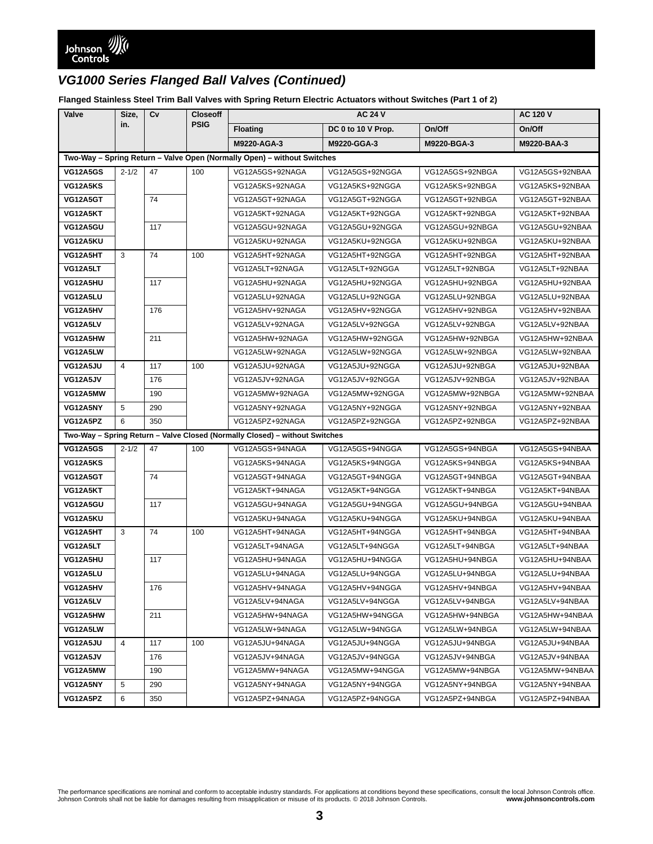**Flanged Stainless Steel Trim Ball Valves with Spring Return Electric Actuators without Switches (Part 1 of 2)**

| Valve                                                                   | Size,          | Cv  | <b>Closeoff</b><br><b>PSIG</b> | <b>AC 24 V</b>                                                              |                    |                 | <b>AC 120 V</b> |
|-------------------------------------------------------------------------|----------------|-----|--------------------------------|-----------------------------------------------------------------------------|--------------------|-----------------|-----------------|
|                                                                         | in.            |     |                                | <b>Floating</b>                                                             | DC 0 to 10 V Prop. | On/Off          | On/Off          |
|                                                                         |                |     |                                | M9220-AGA-3                                                                 | M9220-GGA-3        | M9220-BGA-3     | M9220-BAA-3     |
| Two-Way - Spring Return - Valve Open (Normally Open) - without Switches |                |     |                                |                                                                             |                    |                 |                 |
| <b>VG12A5GS</b>                                                         | $2 - 1/2$      | 47  | 100                            | VG12A5GS+92NAGA                                                             | VG12A5GS+92NGGA    | VG12A5GS+92NBGA | VG12A5GS+92NBAA |
| VG12A5KS                                                                |                |     |                                | VG12A5KS+92NAGA                                                             | VG12A5KS+92NGGA    | VG12A5KS+92NBGA | VG12A5KS+92NBAA |
| <b>VG12A5GT</b>                                                         |                | 74  |                                | VG12A5GT+92NAGA                                                             | VG12A5GT+92NGGA    | VG12A5GT+92NBGA | VG12A5GT+92NBAA |
| VG12A5KT                                                                |                |     |                                | VG12A5KT+92NAGA                                                             | VG12A5KT+92NGGA    | VG12A5KT+92NBGA | VG12A5KT+92NBAA |
| VG12A5GU                                                                |                | 117 |                                | VG12A5GU+92NAGA                                                             | VG12A5GU+92NGGA    | VG12A5GU+92NBGA | VG12A5GU+92NBAA |
| VG12A5KU                                                                |                |     |                                | VG12A5KU+92NAGA                                                             | VG12A5KU+92NGGA    | VG12A5KU+92NBGA | VG12A5KU+92NBAA |
| VG12A5HT                                                                | 3              | 74  | 100                            | VG12A5HT+92NAGA                                                             | VG12A5HT+92NGGA    | VG12A5HT+92NBGA | VG12A5HT+92NBAA |
| VG12A5LT                                                                |                |     |                                | VG12A5LT+92NAGA                                                             | VG12A5LT+92NGGA    | VG12A5LT+92NBGA | VG12A5LT+92NBAA |
| VG12A5HU                                                                |                | 117 |                                | VG12A5HU+92NAGA                                                             | VG12A5HU+92NGGA    | VG12A5HU+92NBGA | VG12A5HU+92NBAA |
| VG12A5LU                                                                |                |     |                                | VG12A5LU+92NAGA                                                             | VG12A5LU+92NGGA    | VG12A5LU+92NBGA | VG12A5LU+92NBAA |
| VG12A5HV                                                                |                | 176 |                                | VG12A5HV+92NAGA                                                             | VG12A5HV+92NGGA    | VG12A5HV+92NBGA | VG12A5HV+92NBAA |
| VG12A5LV                                                                |                |     |                                | VG12A5LV+92NAGA                                                             | VG12A5LV+92NGGA    | VG12A5LV+92NBGA | VG12A5LV+92NBAA |
| VG12A5HW                                                                |                | 211 |                                | VG12A5HW+92NAGA                                                             | VG12A5HW+92NGGA    | VG12A5HW+92NBGA | VG12A5HW+92NBAA |
| VG12A5LW                                                                |                |     |                                | VG12A5LW+92NAGA                                                             | VG12A5LW+92NGGA    | VG12A5LW+92NBGA | VG12A5LW+92NBAA |
| VG12A5JU                                                                | $\overline{4}$ | 117 | 100                            | VG12A5JU+92NAGA                                                             | VG12A5JU+92NGGA    | VG12A5JU+92NBGA | VG12A5JU+92NBAA |
| VG12A5JV                                                                |                | 176 |                                | VG12A5JV+92NAGA                                                             | VG12A5JV+92NGGA    | VG12A5JV+92NBGA | VG12A5JV+92NBAA |
| VG12A5MW                                                                |                | 190 |                                | VG12A5MW+92NAGA                                                             | VG12A5MW+92NGGA    | VG12A5MW+92NBGA | VG12A5MW+92NBAA |
| VG12A5NY                                                                | 5              | 290 |                                | VG12A5NY+92NAGA                                                             | VG12A5NY+92NGGA    | VG12A5NY+92NBGA | VG12A5NY+92NBAA |
| VG12A5PZ                                                                | 6              | 350 |                                | VG12A5PZ+92NAGA                                                             | VG12A5PZ+92NGGA    | VG12A5PZ+92NBGA | VG12A5PZ+92NBAA |
|                                                                         |                |     |                                | Two-Way - Spring Return - Valve Closed (Normally Closed) - without Switches |                    |                 |                 |
| <b>VG12A5GS</b>                                                         | $2 - 1/2$      | 47  | 100                            | VG12A5GS+94NAGA                                                             | VG12A5GS+94NGGA    | VG12A5GS+94NBGA | VG12A5GS+94NBAA |
| VG12A5KS                                                                |                |     |                                | VG12A5KS+94NAGA                                                             | VG12A5KS+94NGGA    | VG12A5KS+94NBGA | VG12A5KS+94NBAA |
| <b>VG12A5GT</b>                                                         |                | 74  |                                | VG12A5GT+94NAGA                                                             | VG12A5GT+94NGGA    | VG12A5GT+94NBGA | VG12A5GT+94NBAA |
| VG12A5KT                                                                |                |     |                                | VG12A5KT+94NAGA                                                             | VG12A5KT+94NGGA    | VG12A5KT+94NBGA | VG12A5KT+94NBAA |
| VG12A5GU                                                                |                | 117 |                                | VG12A5GU+94NAGA                                                             | VG12A5GU+94NGGA    | VG12A5GU+94NBGA | VG12A5GU+94NBAA |
| VG12A5KU                                                                |                |     |                                | VG12A5KU+94NAGA                                                             | VG12A5KU+94NGGA    | VG12A5KU+94NBGA | VG12A5KU+94NBAA |
| VG12A5HT                                                                | 3              | 74  | 100                            | VG12A5HT+94NAGA                                                             | VG12A5HT+94NGGA    | VG12A5HT+94NBGA | VG12A5HT+94NBAA |
| VG12A5LT                                                                |                |     |                                | VG12A5LT+94NAGA                                                             | VG12A5LT+94NGGA    | VG12A5LT+94NBGA | VG12A5LT+94NBAA |
| VG12A5HU                                                                |                | 117 |                                | VG12A5HU+94NAGA                                                             | VG12A5HU+94NGGA    | VG12A5HU+94NBGA | VG12A5HU+94NBAA |
| VG12A5LU                                                                |                |     |                                | VG12A5LU+94NAGA                                                             | VG12A5LU+94NGGA    | VG12A5LU+94NBGA | VG12A5LU+94NBAA |
| VG12A5HV                                                                |                | 176 |                                | VG12A5HV+94NAGA                                                             | VG12A5HV+94NGGA    | VG12A5HV+94NBGA | VG12A5HV+94NBAA |
| VG12A5LV                                                                |                |     |                                | VG12A5LV+94NAGA                                                             | VG12A5LV+94NGGA    | VG12A5LV+94NBGA | VG12A5LV+94NBAA |
| VG12A5HW                                                                |                | 211 |                                | VG12A5HW+94NAGA                                                             | VG12A5HW+94NGGA    | VG12A5HW+94NBGA | VG12A5HW+94NBAA |
| VG12A5LW                                                                |                |     |                                | VG12A5LW+94NAGA                                                             | VG12A5LW+94NGGA    | VG12A5LW+94NBGA | VG12A5LW+94NBAA |
| VG12A5JU                                                                | $\overline{4}$ | 117 | 100                            | VG12A5JU+94NAGA                                                             | VG12A5JU+94NGGA    | VG12A5JU+94NBGA | VG12A5JU+94NBAA |
| VG12A5JV                                                                |                | 176 |                                | VG12A5JV+94NAGA                                                             | VG12A5JV+94NGGA    | VG12A5JV+94NBGA | VG12A5JV+94NBAA |
| VG12A5MW                                                                |                | 190 |                                | VG12A5MW+94NAGA                                                             | VG12A5MW+94NGGA    | VG12A5MW+94NBGA | VG12A5MW+94NBAA |
| VG12A5NY                                                                | 5              | 290 |                                | VG12A5NY+94NAGA                                                             | VG12A5NY+94NGGA    | VG12A5NY+94NBGA | VG12A5NY+94NBAA |
| VG12A5PZ                                                                | 6              | 350 |                                | VG12A5PZ+94NAGA                                                             | VG12A5PZ+94NGGA    | VG12A5PZ+94NBGA | VG12A5PZ+94NBAA |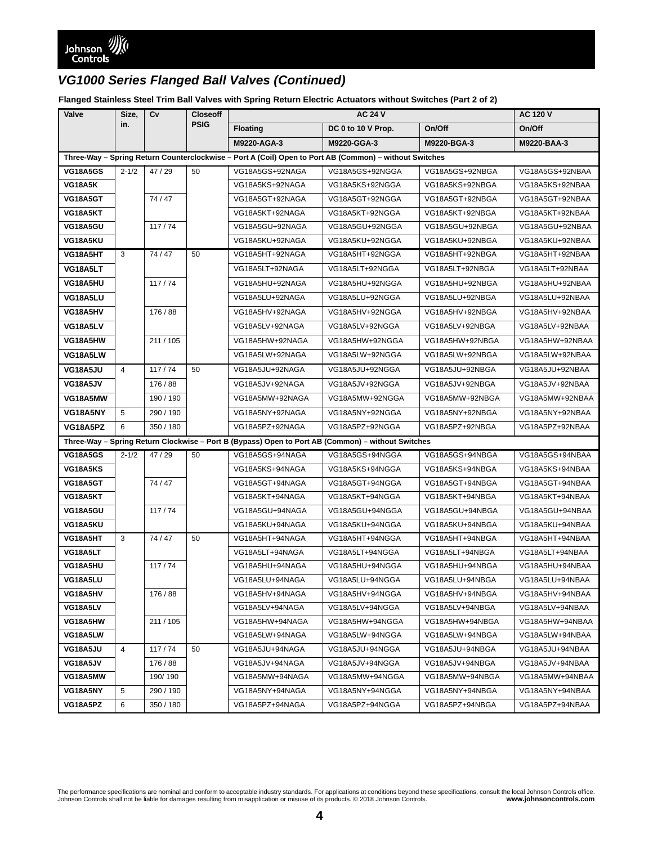**Flanged Stainless Steel Trim Ball Valves with Spring Return Electric Actuators without Switches (Part 2 of 2)**

| Valve                                                                                                  | Size,          | Cv        | <b>Closeoff</b> | <b>AC 24 V</b>  |                    |                 | <b>AC 120 V</b> |
|--------------------------------------------------------------------------------------------------------|----------------|-----------|-----------------|-----------------|--------------------|-----------------|-----------------|
|                                                                                                        | in.            |           | <b>PSIG</b>     | <b>Floating</b> | DC 0 to 10 V Prop. | On/Off          | On/Off          |
|                                                                                                        |                |           |                 | M9220-AGA-3     | M9220-GGA-3        | M9220-BGA-3     | M9220-BAA-3     |
| Three-Way - Spring Return Counterclockwise - Port A (Coil) Open to Port AB (Common) - without Switches |                |           |                 |                 |                    |                 |                 |
| <b>VG18A5GS</b>                                                                                        | $2 - 1/2$      | 47/29     | 50              | VG18A5GS+92NAGA | VG18A5GS+92NGGA    | VG18A5GS+92NBGA | VG18A5GS+92NBAA |
| <b>VG18A5K</b>                                                                                         |                |           |                 | VG18A5KS+92NAGA | VG18A5KS+92NGGA    | VG18A5KS+92NBGA | VG18A5KS+92NBAA |
| VG18A5GT                                                                                               |                | 74 / 47   |                 | VG18A5GT+92NAGA | VG18A5GT+92NGGA    | VG18A5GT+92NBGA | VG18A5GT+92NBAA |
| VG18A5KT                                                                                               |                |           |                 | VG18A5KT+92NAGA | VG18A5KT+92NGGA    | VG18A5KT+92NBGA | VG18A5KT+92NBAA |
| VG18A5GU                                                                                               |                | 117/74    |                 | VG18A5GU+92NAGA | VG18A5GU+92NGGA    | VG18A5GU+92NBGA | VG18A5GU+92NBAA |
| VG18A5KU                                                                                               |                |           |                 | VG18A5KU+92NAGA | VG18A5KU+92NGGA    | VG18A5KU+92NBGA | VG18A5KU+92NBAA |
| VG18A5HT                                                                                               | 3              | 74 / 47   | 50              | VG18A5HT+92NAGA | VG18A5HT+92NGGA    | VG18A5HT+92NBGA | VG18A5HT+92NBAA |
| VG18A5LT                                                                                               |                |           |                 | VG18A5LT+92NAGA | VG18A5LT+92NGGA    | VG18A5LT+92NBGA | VG18A5LT+92NBAA |
| VG18A5HU                                                                                               |                | 117/74    |                 | VG18A5HU+92NAGA | VG18A5HU+92NGGA    | VG18A5HU+92NBGA | VG18A5HU+92NBAA |
| VG18A5LU                                                                                               |                |           |                 | VG18A5LU+92NAGA | VG18A5LU+92NGGA    | VG18A5LU+92NBGA | VG18A5LU+92NBAA |
| VG18A5HV                                                                                               |                | 176 / 88  |                 | VG18A5HV+92NAGA | VG18A5HV+92NGGA    | VG18A5HV+92NBGA | VG18A5HV+92NBAA |
| VG18A5LV                                                                                               |                |           |                 | VG18A5LV+92NAGA | VG18A5LV+92NGGA    | VG18A5LV+92NBGA | VG18A5LV+92NBAA |
| VG18A5HW                                                                                               |                | 211 / 105 |                 | VG18A5HW+92NAGA | VG18A5HW+92NGGA    | VG18A5HW+92NBGA | VG18A5HW+92NBAA |
| VG18A5LW                                                                                               |                |           |                 | VG18A5LW+92NAGA | VG18A5LW+92NGGA    | VG18A5LW+92NBGA | VG18A5LW+92NBAA |
| VG18A5JU                                                                                               | $\overline{4}$ | 117/74    | 50              | VG18A5JU+92NAGA | VG18A5JU+92NGGA    | VG18A5JU+92NBGA | VG18A5JU+92NBAA |
| VG18A5JV                                                                                               |                | 176 / 88  |                 | VG18A5JV+92NAGA | VG18A5JV+92NGGA    | VG18A5JV+92NBGA | VG18A5JV+92NBAA |
| VG18A5MW                                                                                               |                | 190 / 190 |                 | VG18A5MW+92NAGA | VG18A5MW+92NGGA    | VG18A5MW+92NBGA | VG18A5MW+92NBAA |
| VG18A5NY                                                                                               | 5              | 290 / 190 |                 | VG18A5NY+92NAGA | VG18A5NY+92NGGA    | VG18A5NY+92NBGA | VG18A5NY+92NBAA |
| VG18A5PZ                                                                                               | 6              | 350 / 180 |                 | VG18A5PZ+92NAGA | VG18A5PZ+92NGGA    | VG18A5PZ+92NBGA | VG18A5PZ+92NBAA |
| Three-Way - Spring Return Clockwise - Port B (Bypass) Open to Port AB (Common) - without Switches      |                |           |                 |                 |                    |                 |                 |
| <b>VG18A5GS</b>                                                                                        | $2 - 1/2$      | 47/29     | 50              | VG18A5GS+94NAGA | VG18A5GS+94NGGA    | VG18A5GS+94NBGA | VG18A5GS+94NBAA |
| VG18A5KS                                                                                               |                |           |                 | VG18A5KS+94NAGA | VG18A5KS+94NGGA    | VG18A5KS+94NBGA | VG18A5KS+94NBAA |
| VG18A5GT                                                                                               |                | 74/47     |                 | VG18A5GT+94NAGA | VG18A5GT+94NGGA    | VG18A5GT+94NBGA | VG18A5GT+94NBAA |
| VG18A5KT                                                                                               |                |           |                 | VG18A5KT+94NAGA | VG18A5KT+94NGGA    | VG18A5KT+94NBGA | VG18A5KT+94NBAA |
| VG18A5GU                                                                                               |                | 117/74    |                 | VG18A5GU+94NAGA | VG18A5GU+94NGGA    | VG18A5GU+94NBGA | VG18A5GU+94NBAA |
| VG18A5KU                                                                                               |                |           |                 | VG18A5KU+94NAGA | VG18A5KU+94NGGA    | VG18A5KU+94NBGA | VG18A5KU+94NBAA |
| VG18A5HT                                                                                               | 3              | 74 / 47   | 50              | VG18A5HT+94NAGA | VG18A5HT+94NGGA    | VG18A5HT+94NBGA | VG18A5HT+94NBAA |
| VG18A5LT                                                                                               |                |           |                 | VG18A5LT+94NAGA | VG18A5LT+94NGGA    | VG18A5LT+94NBGA | VG18A5LT+94NBAA |
| VG18A5HU                                                                                               |                | 117/74    |                 | VG18A5HU+94NAGA | VG18A5HU+94NGGA    | VG18A5HU+94NBGA | VG18A5HU+94NBAA |
| VG18A5LU                                                                                               |                |           |                 | VG18A5LU+94NAGA | VG18A5LU+94NGGA    | VG18A5LU+94NBGA | VG18A5LU+94NBAA |
| VG18A5HV                                                                                               |                | 176 / 88  |                 | VG18A5HV+94NAGA | VG18A5HV+94NGGA    | VG18A5HV+94NBGA | VG18A5HV+94NBAA |
| VG18A5LV                                                                                               |                |           |                 | VG18A5LV+94NAGA | VG18A5LV+94NGGA    | VG18A5LV+94NBGA | VG18A5LV+94NBAA |
| VG18A5HW                                                                                               |                | 211 / 105 |                 | VG18A5HW+94NAGA | VG18A5HW+94NGGA    | VG18A5HW+94NBGA | VG18A5HW+94NBAA |
| VG18A5LW                                                                                               |                |           |                 | VG18A5LW+94NAGA | VG18A5LW+94NGGA    | VG18A5LW+94NBGA | VG18A5LW+94NBAA |
| VG18A5JU                                                                                               | $\overline{4}$ | 117/74    | 50              | VG18A5JU+94NAGA | VG18A5JU+94NGGA    | VG18A5JU+94NBGA | VG18A5JU+94NBAA |
| VG18A5JV                                                                                               |                | 176 / 88  |                 | VG18A5JV+94NAGA | VG18A5JV+94NGGA    | VG18A5JV+94NBGA | VG18A5JV+94NBAA |
| VG18A5MW                                                                                               |                | 190/190   |                 | VG18A5MW+94NAGA | VG18A5MW+94NGGA    | VG18A5MW+94NBGA | VG18A5MW+94NBAA |
| VG18A5NY                                                                                               | 5              | 290 / 190 |                 | VG18A5NY+94NAGA | VG18A5NY+94NGGA    | VG18A5NY+94NBGA | VG18A5NY+94NBAA |
| VG18A5PZ                                                                                               | 6              | 350 / 180 |                 | VG18A5PZ+94NAGA | VG18A5PZ+94NGGA    | VG18A5PZ+94NBGA | VG18A5PZ+94NBAA |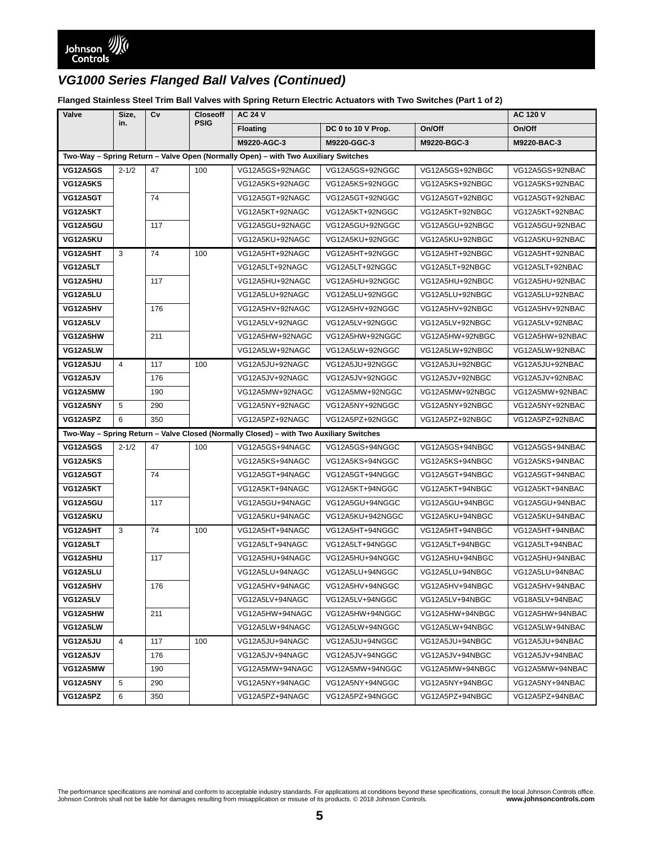**Flanged Stainless Steel Trim Ball Valves with Spring Return Electric Actuators with Two Switches (Part 1 of 2)**

| Valve<br>Size,                                                                     |                | Cv  | <b>Closeoff</b> | <b>AC 24 V</b>                                                                         |                    |                 | <b>AC 120 V</b> |
|------------------------------------------------------------------------------------|----------------|-----|-----------------|----------------------------------------------------------------------------------------|--------------------|-----------------|-----------------|
|                                                                                    | in.            |     | <b>PSIG</b>     | <b>Floating</b>                                                                        | DC 0 to 10 V Prop. | On/Off          | On/Off          |
|                                                                                    |                |     |                 | M9220-AGC-3                                                                            | M9220-GGC-3        | M9220-BGC-3     | M9220-BAC-3     |
| Two-Way - Spring Return - Valve Open (Normally Open) - with Two Auxiliary Switches |                |     |                 |                                                                                        |                    |                 |                 |
| <b>VG12A5GS</b>                                                                    | $2 - 1/2$      | 47  | 100             | VG12A5GS+92NAGC                                                                        | VG12A5GS+92NGGC    | VG12A5GS+92NBGC | VG12A5GS+92NBAC |
| <b>VG12A5KS</b>                                                                    |                |     |                 | VG12A5KS+92NAGC                                                                        | VG12A5KS+92NGGC    | VG12A5KS+92NBGC | VG12A5KS+92NBAC |
| VG12A5GT                                                                           |                | 74  |                 | VG12A5GT+92NAGC                                                                        | VG12A5GT+92NGGC    | VG12A5GT+92NBGC | VG12A5GT+92NBAC |
| VG12A5KT                                                                           |                |     |                 | VG12A5KT+92NAGC                                                                        | VG12A5KT+92NGGC    | VG12A5KT+92NBGC | VG12A5KT+92NBAC |
| VG12A5GU                                                                           |                | 117 |                 | VG12A5GU+92NAGC                                                                        | VG12A5GU+92NGGC    | VG12A5GU+92NBGC | VG12A5GU+92NBAC |
| VG12A5KU                                                                           |                |     |                 | VG12A5KU+92NAGC                                                                        | VG12A5KU+92NGGC    | VG12A5KU+92NBGC | VG12A5KU+92NBAC |
| VG12A5HT                                                                           | 3              | 74  | 100             | VG12A5HT+92NAGC                                                                        | VG12A5HT+92NGGC    | VG12A5HT+92NBGC | VG12A5HT+92NBAC |
| VG12A5LT                                                                           |                |     |                 | VG12A5LT+92NAGC                                                                        | VG12A5LT+92NGGC    | VG12A5LT+92NBGC | VG12A5LT+92NBAC |
| VG12A5HU                                                                           |                | 117 |                 | VG12A5HU+92NAGC                                                                        | VG12A5HU+92NGGC    | VG12A5HU+92NBGC | VG12A5HU+92NBAC |
| VG12A5LU                                                                           |                |     |                 | VG12A5LU+92NAGC                                                                        | VG12A5LU+92NGGC    | VG12A5LU+92NBGC | VG12A5LU+92NBAC |
| VG12A5HV                                                                           |                | 176 |                 | VG12A5HV+92NAGC                                                                        | VG12A5HV+92NGGC    | VG12A5HV+92NBGC | VG12A5HV+92NBAC |
| VG12A5LV                                                                           |                |     |                 | VG12A5LV+92NAGC                                                                        | VG12A5LV+92NGGC    | VG12A5LV+92NBGC | VG12A5LV+92NBAC |
| VG12A5HW                                                                           |                | 211 |                 | VG12A5HW+92NAGC                                                                        | VG12A5HW+92NGGC    | VG12A5HW+92NBGC | VG12A5HW+92NBAC |
| VG12A5LW                                                                           |                |     |                 | VG12A5LW+92NAGC                                                                        | VG12A5LW+92NGGC    | VG12A5LW+92NBGC | VG12A5LW+92NBAC |
| VG12A5JU                                                                           | $\overline{4}$ | 117 | 100             | VG12A5JU+92NAGC                                                                        | VG12A5JU+92NGGC    | VG12A5JU+92NBGC | VG12A5JU+92NBAC |
| VG12A5JV                                                                           |                | 176 |                 | VG12A5JV+92NAGC                                                                        | VG12A5JV+92NGGC    | VG12A5JV+92NBGC | VG12A5JV+92NBAC |
| VG12A5MW                                                                           |                | 190 |                 | VG12A5MW+92NAGC                                                                        | VG12A5MW+92NGGC    | VG12A5MW+92NBGC | VG12A5MW+92NBAC |
| VG12A5NY                                                                           | 5              | 290 |                 | VG12A5NY+92NAGC                                                                        | VG12A5NY+92NGGC    | VG12A5NY+92NBGC | VG12A5NY+92NBAC |
| VG12A5PZ                                                                           | 6              | 350 |                 | VG12A5PZ+92NAGC                                                                        | VG12A5PZ+92NGGC    | VG12A5PZ+92NBGC | VG12A5PZ+92NBAC |
|                                                                                    |                |     |                 | Two-Way - Spring Return - Valve Closed (Normally Closed) - with Two Auxiliary Switches |                    |                 |                 |
| <b>VG12A5GS</b>                                                                    | $2 - 1/2$      | 47  | 100             | VG12A5GS+94NAGC                                                                        | VG12A5GS+94NGGC    | VG12A5GS+94NBGC | VG12A5GS+94NBAC |
| VG12A5KS                                                                           |                |     |                 | VG12A5KS+94NAGC                                                                        | VG12A5KS+94NGGC    | VG12A5KS+94NBGC | VG12A5KS+94NBAC |
| VG12A5GT                                                                           |                | 74  |                 | VG12A5GT+94NAGC                                                                        | VG12A5GT+94NGGC    | VG12A5GT+94NBGC | VG12A5GT+94NBAC |
| VG12A5KT                                                                           |                |     |                 | VG12A5KT+94NAGC                                                                        | VG12A5KT+94NGGC    | VG12A5KT+94NBGC | VG12A5KT+94NBAC |
| VG12A5GU                                                                           |                | 117 |                 | VG12A5GU+94NAGC                                                                        | VG12A5GU+94NGGC    | VG12A5GU+94NBGC | VG12A5GU+94NBAC |
| VG12A5KU                                                                           |                |     |                 | VG12A5KU+94NAGC                                                                        | VG12A5KU+942NGGC   | VG12A5KU+94NBGC | VG12A5KU+94NBAC |
| VG12A5HT                                                                           | 3              | 74  | 100             | VG12A5HT+94NAGC                                                                        | VG12A5HT+94NGGC    | VG12A5HT+94NBGC | VG12A5HT+94NBAC |
| VG12A5LT                                                                           |                |     |                 | VG12A5LT+94NAGC                                                                        | VG12A5LT+94NGGC    | VG12A5LT+94NBGC | VG12A5LT+94NBAC |
| VG12A5HU                                                                           |                | 117 |                 | VG12A5HU+94NAGC                                                                        | VG12A5HU+94NGGC    | VG12A5HU+94NBGC | VG12A5HU+94NBAC |
| VG12A5LU                                                                           |                |     |                 | VG12A5LU+94NAGC                                                                        | VG12A5LU+94NGGC    | VG12A5LU+94NBGC | VG12A5LU+94NBAC |
| VG12A5HV                                                                           |                | 176 |                 | VG12A5HV+94NAGC                                                                        | VG12A5HV+94NGGC    | VG12A5HV+94NBGC | VG12A5HV+94NBAC |
| VG12A5LV                                                                           |                |     |                 | VG12A5LV+94NAGC                                                                        | VG12A5LV+94NGGC    | VG12A5LV+94NBGC | VG18A5LV+94NBAC |
| VG12A5HW                                                                           |                | 211 |                 | VG12A5HW+94NAGC                                                                        | VG12A5HW+94NGGC    | VG12A5HW+94NBGC | VG12A5HW+94NBAC |
| VG12A5LW                                                                           |                |     |                 | VG12A5LW+94NAGC                                                                        | VG12A5LW+94NGGC    | VG12A5LW+94NBGC | VG12A5LW+94NBAC |
| VG12A5JU                                                                           | $\overline{4}$ | 117 | 100             | VG12A5JU+94NAGC                                                                        | VG12A5JU+94NGGC    | VG12A5JU+94NBGC | VG12A5JU+94NBAC |
| VG12A5JV                                                                           |                | 176 |                 | VG12A5JV+94NAGC                                                                        | VG12A5JV+94NGGC    | VG12A5JV+94NBGC | VG12A5JV+94NBAC |
| VG12A5MW                                                                           |                | 190 |                 | VG12A5MW+94NAGC                                                                        | VG12A5MW+94NGGC    | VG12A5MW+94NBGC | VG12A5MW+94NBAC |
| VG12A5NY                                                                           | 5              | 290 |                 | VG12A5NY+94NAGC                                                                        | VG12A5NY+94NGGC    | VG12A5NY+94NBGC | VG12A5NY+94NBAC |
| VG12A5PZ                                                                           | 6              | 350 |                 | VG12A5PZ+94NAGC                                                                        | VG12A5PZ+94NGGC    | VG12A5PZ+94NBGC | VG12A5PZ+94NBAC |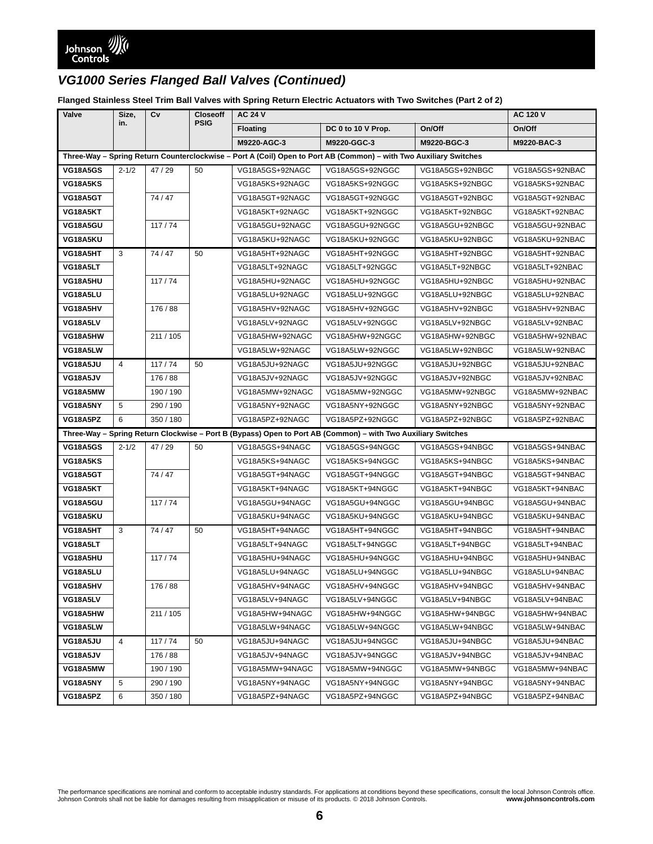**Flanged Stainless Steel Trim Ball Valves with Spring Return Electric Actuators with Two Switches (Part 2 of 2)**

| Valve                                                                                                             | Size,          | Cv        | <b>Closeoff</b> | <b>AC 24 V</b>  | <b>AC 120 V</b>                                                                                              |                 |                 |
|-------------------------------------------------------------------------------------------------------------------|----------------|-----------|-----------------|-----------------|--------------------------------------------------------------------------------------------------------------|-----------------|-----------------|
|                                                                                                                   | in.            |           | <b>PSIG</b>     | <b>Floating</b> | DC 0 to 10 V Prop.                                                                                           | On/Off          | On/Off          |
|                                                                                                                   |                |           |                 | M9220-AGC-3     | M9220-GGC-3                                                                                                  | M9220-BGC-3     | M9220-BAC-3     |
| Three-Way - Spring Return Counterclockwise - Port A (Coil) Open to Port AB (Common) - with Two Auxiliary Switches |                |           |                 |                 |                                                                                                              |                 |                 |
| <b>VG18A5GS</b>                                                                                                   | $2 - 1/2$      | 47/29     | 50              | VG18A5GS+92NAGC | VG18A5GS+92NGGC                                                                                              | VG18A5GS+92NBGC | VG18A5GS+92NBAC |
| <b>VG18A5KS</b>                                                                                                   |                |           |                 | VG18A5KS+92NAGC | VG18A5KS+92NGGC                                                                                              | VG18A5KS+92NBGC | VG18A5KS+92NBAC |
| VG18A5GT                                                                                                          |                | 74/47     |                 | VG18A5GT+92NAGC | VG18A5GT+92NGGC                                                                                              | VG18A5GT+92NBGC | VG18A5GT+92NBAC |
| VG18A5KT                                                                                                          |                |           |                 | VG18A5KT+92NAGC | VG18A5KT+92NGGC                                                                                              | VG18A5KT+92NBGC | VG18A5KT+92NBAC |
| VG18A5GU                                                                                                          |                | 117/74    |                 | VG18A5GU+92NAGC | VG18A5GU+92NGGC                                                                                              | VG18A5GU+92NBGC | VG18A5GU+92NBAC |
| VG18A5KU                                                                                                          |                |           |                 | VG18A5KU+92NAGC | VG18A5KU+92NGGC                                                                                              | VG18A5KU+92NBGC | VG18A5KU+92NBAC |
| VG18A5HT                                                                                                          | 3              | 74/47     | 50              | VG18A5HT+92NAGC | VG18A5HT+92NGGC                                                                                              | VG18A5HT+92NBGC | VG18A5HT+92NBAC |
| VG18A5LT                                                                                                          |                |           |                 | VG18A5LT+92NAGC | VG18A5LT+92NGGC                                                                                              | VG18A5LT+92NBGC | VG18A5LT+92NBAC |
| VG18A5HU                                                                                                          |                | 117/74    |                 | VG18A5HU+92NAGC | VG18A5HU+92NGGC                                                                                              | VG18A5HU+92NBGC | VG18A5HU+92NBAC |
| VG18A5LU                                                                                                          |                |           |                 | VG18A5LU+92NAGC | VG18A5LU+92NGGC                                                                                              | VG18A5LU+92NBGC | VG18A5LU+92NBAC |
| VG18A5HV                                                                                                          |                | 176 / 88  |                 | VG18A5HV+92NAGC | VG18A5HV+92NGGC                                                                                              | VG18A5HV+92NBGC | VG18A5HV+92NBAC |
| VG18A5LV                                                                                                          |                |           |                 | VG18A5LV+92NAGC | VG18A5LV+92NGGC                                                                                              | VG18A5LV+92NBGC | VG18A5LV+92NBAC |
| VG18A5HW                                                                                                          |                | 211 / 105 |                 | VG18A5HW+92NAGC | VG18A5HW+92NGGC                                                                                              | VG18A5HW+92NBGC | VG18A5HW+92NBAC |
| VG18A5LW                                                                                                          |                |           |                 | VG18A5LW+92NAGC | VG18A5LW+92NGGC                                                                                              | VG18A5LW+92NBGC | VG18A5LW+92NBAC |
| <b>VG18A5JU</b>                                                                                                   | $\overline{4}$ | 117/74    | 50              | VG18A5JU+92NAGC | VG18A5JU+92NGGC                                                                                              | VG18A5JU+92NBGC | VG18A5JU+92NBAC |
| VG18A5JV                                                                                                          |                | 176 / 88  |                 | VG18A5JV+92NAGC | VG18A5JV+92NGGC                                                                                              | VG18A5JV+92NBGC | VG18A5JV+92NBAC |
| VG18A5MW                                                                                                          |                | 190 / 190 |                 | VG18A5MW+92NAGC | VG18A5MW+92NGGC                                                                                              | VG18A5MW+92NBGC | VG18A5MW+92NBAC |
| VG18A5NY                                                                                                          | 5              | 290 / 190 |                 | VG18A5NY+92NAGC | VG18A5NY+92NGGC                                                                                              | VG18A5NY+92NBGC | VG18A5NY+92NBAC |
| VG18A5PZ                                                                                                          | 6              | 350 / 180 |                 | VG18A5PZ+92NAGC | VG18A5PZ+92NGGC                                                                                              | VG18A5PZ+92NBGC | VG18A5PZ+92NBAC |
|                                                                                                                   |                |           |                 |                 | Three-Way - Spring Return Clockwise - Port B (Bypass) Open to Port AB (Common) - with Two Auxiliary Switches |                 |                 |
| <b>VG18A5GS</b>                                                                                                   | $2 - 1/2$      | 47/29     | 50              | VG18A5GS+94NAGC | VG18A5GS+94NGGC                                                                                              | VG18A5GS+94NBGC | VG18A5GS+94NBAC |
| <b>VG18A5KS</b>                                                                                                   |                |           |                 | VG18A5KS+94NAGC | VG18A5KS+94NGGC                                                                                              | VG18A5KS+94NBGC | VG18A5KS+94NBAC |
| VG18A5GT                                                                                                          |                | 74/47     |                 | VG18A5GT+94NAGC | VG18A5GT+94NGGC                                                                                              | VG18A5GT+94NBGC | VG18A5GT+94NBAC |
| VG18A5KT                                                                                                          |                |           |                 | VG18A5KT+94NAGC | VG18A5KT+94NGGC                                                                                              | VG18A5KT+94NBGC | VG18A5KT+94NBAC |
| VG18A5GU                                                                                                          |                | 117/74    |                 | VG18A5GU+94NAGC | VG18A5GU+94NGGC                                                                                              | VG18A5GU+94NBGC | VG18A5GU+94NBAC |
| VG18A5KU                                                                                                          |                |           |                 | VG18A5KU+94NAGC | VG18A5KU+94NGGC                                                                                              | VG18A5KU+94NBGC | VG18A5KU+94NBAC |
| VG18A5HT                                                                                                          | 3              | 74/47     | 50              | VG18A5HT+94NAGC | VG18A5HT+94NGGC                                                                                              | VG18A5HT+94NBGC | VG18A5HT+94NBAC |
| VG18A5LT                                                                                                          |                |           |                 | VG18A5LT+94NAGC | VG18A5LT+94NGGC                                                                                              | VG18A5LT+94NBGC | VG18A5LT+94NBAC |
| VG18A5HU                                                                                                          |                | 117/74    |                 | VG18A5HU+94NAGC | VG18A5HU+94NGGC                                                                                              | VG18A5HU+94NBGC | VG18A5HU+94NBAC |
| VG18A5LU                                                                                                          |                |           |                 | VG18A5LU+94NAGC | VG18A5LU+94NGGC                                                                                              | VG18A5LU+94NBGC | VG18A5LU+94NBAC |
| VG18A5HV                                                                                                          |                | 176 / 88  |                 | VG18A5HV+94NAGC | VG18A5HV+94NGGC                                                                                              | VG18A5HV+94NBGC | VG18A5HV+94NBAC |
| VG18A5LV                                                                                                          |                |           |                 | VG18A5LV+94NAGC | VG18A5LV+94NGGC                                                                                              | VG18A5LV+94NBGC | VG18A5LV+94NBAC |
| VG18A5HW                                                                                                          |                | 211 / 105 |                 | VG18A5HW+94NAGC | VG18A5HW+94NGGC                                                                                              | VG18A5HW+94NBGC | VG18A5HW+94NBAC |
| VG18A5LW                                                                                                          |                |           |                 | VG18A5LW+94NAGC | VG18A5LW+94NGGC                                                                                              | VG18A5LW+94NBGC | VG18A5LW+94NBAC |
| VG18A5JU                                                                                                          | $\overline{4}$ | 117/74    | 50              | VG18A5JU+94NAGC | VG18A5JU+94NGGC                                                                                              | VG18A5JU+94NBGC | VG18A5JU+94NBAC |
| VG18A5JV                                                                                                          |                | 176 / 88  |                 | VG18A5JV+94NAGC | VG18A5JV+94NGGC                                                                                              | VG18A5JV+94NBGC | VG18A5JV+94NBAC |
| VG18A5MW                                                                                                          |                | 190 / 190 |                 | VG18A5MW+94NAGC | VG18A5MW+94NGGC                                                                                              | VG18A5MW+94NBGC | VG18A5MW+94NBAC |
| VG18A5NY                                                                                                          | 5              | 290 / 190 |                 | VG18A5NY+94NAGC | VG18A5NY+94NGGC                                                                                              | VG18A5NY+94NBGC | VG18A5NY+94NBAC |
| VG18A5PZ                                                                                                          | 6              | 350 / 180 |                 | VG18A5PZ+94NAGC | VG18A5PZ+94NGGC                                                                                              | VG18A5PZ+94NBGC | VG18A5PZ+94NBAC |